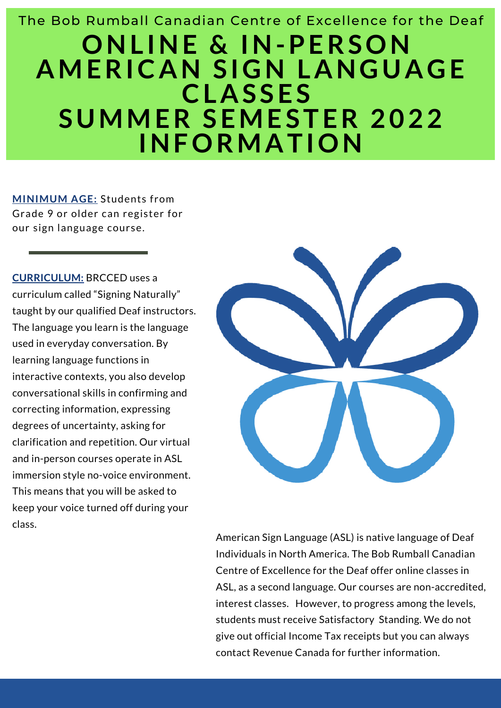# **ONL INE & IN-PERSON AMERICAN S IGN LANGUAGE CLAS SES SUMMER SEMESTER 2022 INFORMATION** The Bob Rumball Canadian Centre of Excellence for the Deaf

**MINIMUM AGE:** Students from Grade 9 or older can register for our sign language course.

**CURRICULUM:** BRCCED uses a curriculum called "Signing Naturally" taught by our qualified Deaf instructors. The language you learn is the language used in everyday conversation. By learning language functions in interactive contexts, you also develop conversational skills in confirming and correcting information, expressing degrees of uncertainty, asking for clarification and repetition. Our virtual and in-person courses operate in ASL immersion style no-voice environment. This means that you will be asked to keep your voice turned off during your class.



American Sign Language (ASL) is native language of Deaf Individuals in North America. The Bob Rumball Canadian Centre of Excellence for the Deaf offer online classes in ASL, as a second language. Our courses are non-accredited, interest classes. However, to progress among the levels, students must receive Satisfactory Standing. We do not give out official Income Tax receipts but you can always contact Revenue Canada for further information.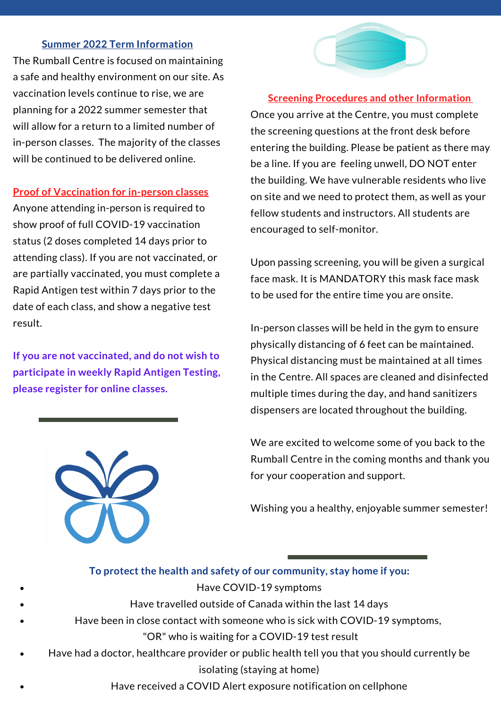#### **Summer 2022 Term Information**

The Rumball Centre is focused on maintaining a safe and healthy environment on our site. As vaccination levels continue to rise, we are planning for a 2022 summer semester that will allow for a return to a limited number of in-person classes. The majority of the classes will be continued to be delivered online.

#### **Proof of Vaccination for in-person classes**

Anyone attending in-person is required to show proof of full COVID-19 vaccination status (2 doses completed 14 days prior to attending class). If you are not vaccinated, or are partially vaccinated, you must complete a Rapid Antigen test within 7 days prior to the date of each class, and show a negative test result.

**If you are not vaccinated, and do not wish to participate in weekly Rapid Antigen Testing, please register for online classes.**





#### **Screening Procedures and other Information**

Once you arrive at the Centre, you must complete the screening questions at the front desk before entering the building. Please be patient as there may be a line. If you are feeling unwell, DO NOT enter the building. We have vulnerable residents who live on site and we need to protect them, as well as your fellow students and instructors. All students are encouraged to self-monitor.

Upon passing screening, you will be given a surgical face mask. It is MANDATORY this mask face mask to be used for the entire time you are onsite.

In-person classes will be held in the gym to ensure physically distancing of 6 feet can be maintained. Physical distancing must be maintained at all times in the Centre. All spaces are cleaned and disinfected multiple times during the day, and hand sanitizers dispensers are located throughout the building.

We are excited to welcome some of you back to the Rumball Centre in the coming months and thank you for your cooperation and support.

Wishing you a healthy, enjoyable summer semester!

|           | To protect the health and safety of our community, stay home if you:                          |
|-----------|-----------------------------------------------------------------------------------------------|
| $\bullet$ | Have COVID-19 symptoms                                                                        |
| $\bullet$ | Have travelled outside of Canada within the last 14 days                                      |
| $\bullet$ | Have been in close contact with someone who is sick with COVID-19 symptoms,                   |
|           | "OR" who is waiting for a COVID-19 test result                                                |
| $\bullet$ | Have had a doctor, healthcare provider or public health tell you that you should currently be |
|           | isolating (staying at home)                                                                   |
| $\bullet$ | Have received a COVID Alert exposure notification on cellphone                                |
|           |                                                                                               |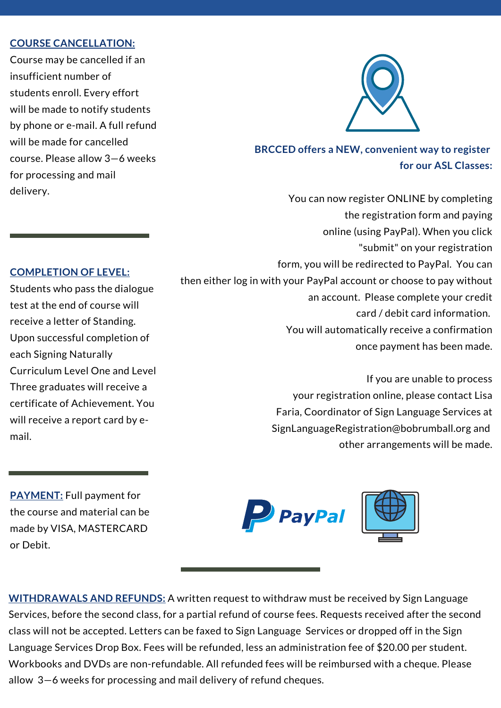#### **COURSE CANCELLATION:**

Course may be cancelled if an insufficient number of students enroll. Every effort will be made to notify students by phone or e-mail. A full refund will be made for cancelled course. Please allow 3—6 weeks for processing and mail delivery.



### **BRCCED offers a NEW, convenient way to register for our ASL Classes:**

You can now register ONLINE by completing the registration form and paying online (using PayPal). When you click "submit" on your registration form, you will be redirected to PayPal. You can then either log in with your PayPal account or choose to pay without an account. Please complete your credit card / debit card information. You will automatically receive a confirmation once payment has been made.

> If you are unable to process your registration online, please contact Lisa Faria, Coordinator of Sign Language Services at SignLanguageRegistration@bobrumball.org and other arrangements will be made.

**PAYMENT:** Full payment for the course and material can be made by VISA, MASTERCARD or Debit.





**WITHDRAWALS AND REFUNDS:** A written request to withdraw must be received by Sign Language Services, before the second class, for a partial refund of course fees. Requests received after the second class will not be accepted. Letters can be faxed to Sign Language Services or dropped off in the Sign Language Services Drop Box. Fees will be refunded, less an administration fee of \$20.00 per student. Workbooks and DVDs are non-refundable. All refunded fees will be reimbursed with a cheque. Please allow 3—6 weeks for processing and mail delivery of refund cheques.

#### **COMPLETION OF LEVEL:**

Students who pass the dialogue test at the end of course will receive a letter of Standing. Upon successful completion of each Signing Naturally Curriculum Level One and Level Three graduates will receive a certificate of Achievement. You will receive a report card by email.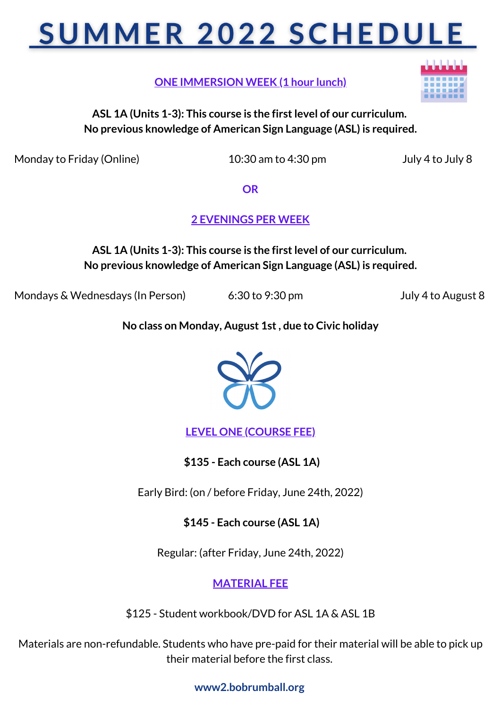# **SUMMER 2022 SCHEDULE**

**ONE IMMERSION WEEK (1 hour lunch)**

**ASL 1A (Units 1-3): This course is the firstlevel of our curriculum. No previous knowledge of American Sign Language (ASL) is required.**

Monday to Friday (Online) 10:30 am to 4:30 pm July 4 to July 8

**OR**

**2 EVENINGS PER WEEK**

**ASL 1A (Units 1-3): This course is the firstlevel of our curriculum. No previous knowledge of American Sign Language (ASL) is required.**

Mondays & Wednesdays (In Person) 6:30 to 9:30 pm July 4 to August 8

**No class on Monday, August 1st, due to Civic holiday**



**LEVEL ONE (COURSE FEE)**

**\$135 - Each course (ASL 1A)**

Early Bird: (on / before Friday, June 24th, 2022)

**\$145 - Each course (ASL 1A)**

Regular: (after Friday, June 24th, 2022)

**MATERIAL FEE**

\$125 - Student workbook/DVD for ASL 1A & ASL 1B

Materials are non-refundable. Students who have pre-paid for their material will be able to pick up their material before the first class.

**www2.bobrumball.org**